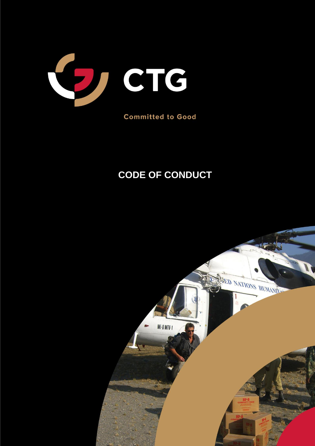

**Committed to Good** 

# **CODE OF CONDUCT**

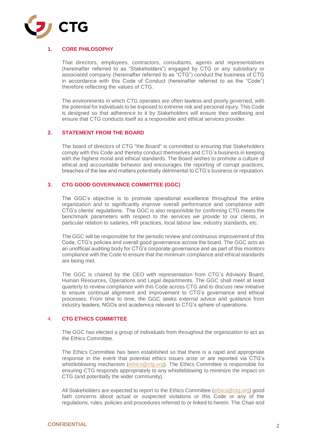

# **1. CORE PHILOSOPHY**

That directors, employees, contractors, consultants, agents and representatives (hereinafter referred to as "Stakeholders") engaged by CTG or any subsidiary or associated company (hereinafter referred to as "CTG") conduct the business of CTG in accordance with this Code of Conduct (hereinafter referred to as the "Code") therefore reflecting the values of CTG.

The environments in which CTG operates are often lawless and poorly governed, with the potential for individuals to be exposed to extreme risk and personal injury. This Code is designed so that adherence to it by Stakeholders will ensure their wellbeing and ensure that CTG conducts itself as a responsible and ethical services provider.

### **2. STATEMENT FROM THE BOARD**

The board of directors of CTG "the Board" is committed to ensuring that Stakeholders comply with this Code and thereby conduct themselves and CTG's business in keeping with the highest moral and ethical standards. The Board wishes to promote a culture of ethical and accountable behavior and encourages the reporting of corrupt practices, breaches of the law and matters potentially detrimental to CTG's business or reputation.

## **3. CTG GOOD GOVERNANCE COMMITTEE (GGC)**

The GGC's objective is to promote operational excellence throughout the entire organization and to significantly improve overall performance and compliance with CTG's clients' regulations. The GGC is also responsible for confirming CTG meets the benchmark parameters with respect to the services we provide to our clients, in particular relation to salaries, HR practices, local labour law, industry standards, etc.

The GGC will be responsible for the periodic review and continuous improvement of this Code, CTG's policies and overall good governance across the board. The GGC acts as an unofficial auditing body for CTG's corporate governance and as part of this monitors compliance with the Code to ensure that the minimum compliance and ethical standards are being met.

The GGC is chaired by the CEO with representation from CTG's Advisory Board, Human Resources, Operations and Legal departments. The GGC shall meet at least quarterly to review compliance with this Code across CTG and to discuss new initiative to ensure continual alignment and improvement to CTG's governance and ethical processes. From time to time, the GGC seeks external advice and guidance from industry leaders, NGOs and academics relevant to CTG's sphere of operations.

## 4. **CTG ETHICS COMMITTEE**

The GGC has elected a group of individuals from throughout the organization to act as the Ethics Committee.

The Ethics Committee has been established so that there is a rapid and appropriate response in the event that potential ethics issues arise or are reported via CTG's whistleblowing mechanism [\(ethics@ctg.org\)](mailto:ethics@ctg.org). The Ethics Committee is responsible for ensuring CTG responds appropriately to any whistleblowing to minimize the impact on CTG (and potentially the wider community).

All Stakeholders are expected to report to the Ethics Committee [\(ethics@ctg.org\)](mailto:ethics@ctg.org) good faith concerns about actual or suspected violations or this Code or any of the regulations, rules, policies and procedures referred to or linked to herein. The Chair and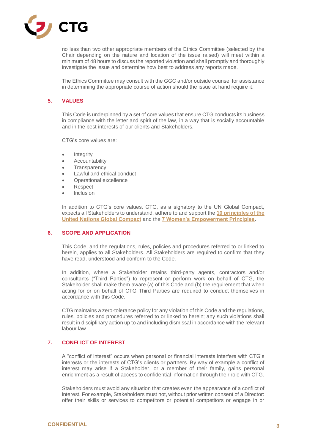

no less than two other appropriate members of the Ethics Committee (selected by the Chair depending on the nature and location of the issue raised) will meet within a minimum of 48 hours to discuss the reported violation and shall promptly and thoroughly investigate the issue and determine how best to address any reports made.

The Ethics Committee may consult with the GGC and/or outside counsel for assistance in determining the appropriate course of action should the issue at hand require it.

# **5. VALUES**

This Code is underpinned by a set of core values that ensure CTG conducts its business in compliance with the letter and spirit of the law, in a way that is socially accountable and in the best interests of our clients and Stakeholders.

CTG's core values are:

- **Integrity**
- **Accountability**
- **Transparency**
- Lawful and ethical conduct
- Operational excellence
- Respect
- **Inclusion**

In addition to CTG's core values, CTG, as a signatory to the UN Global Compact, expects all Stakeholders to understand, adhere to and support the **[10 principles of the](https://www.unglobalcompact.org/what-is-gc/mission/principles)  [United Nations Global Compact](https://www.unglobalcompact.org/what-is-gc/mission/principles)** and the **[7 Women's Empowerment Principles.](https://www.empowerwomen.org/en/weps/about)**

# **6. SCOPE AND APPLICATION**

This Code, and the regulations, rules, policies and procedures referred to or linked to herein, applies to all Stakeholders. All Stakeholders are required to confirm that they have read, understood and conform to the Code.

In addition, where a Stakeholder retains third-party agents, contractors and/or consultants ("Third Parties") to represent or perform work on behalf of CTG, the Stakeholder shall make them aware (a) of this Code and (b) the requirement that when acting for or on behalf of CTG Third Parties are required to conduct themselves in accordance with this Code.

CTG maintains a zero-tolerance policy for any violation of this Code and the regulations, rules, policies and procedures referred to or linked to herein; any such violations shall result in disciplinary action up to and including dismissal in accordance with the relevant labour law.

# **7. CONFLICT OF INTEREST**

A "conflict of interest" occurs when personal or financial interests interfere with CTG's interests or the interests of CTG's clients or partners. By way of example a conflict of interest may arise if a Stakeholder, or a member of their family, gains personal enrichment as a result of access to confidential information through their role with CTG.

Stakeholders must avoid any situation that creates even the appearance of a conflict of interest. For example, Stakeholders must not, without prior written consent of a Director: offer their skills or services to competitors or potential competitors or engage in or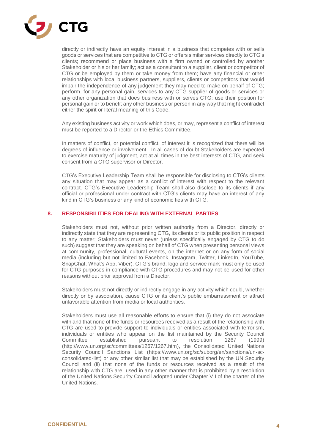

directly or indirectly have an equity interest in a business that competes with or sells goods or services that are competitive to CTG or offers similar services directly to CTG's clients; recommend or place business with a firm owned or controlled by another Stakeholder or his or her family; act as a consultant to a supplier, client or competitor of CTG or be employed by them or take money from them; have any financial or other relationships with local business partners, suppliers, clients or competitors that would impair the independence of any judgement they may need to make on behalf of CTG; perform, for any personal gain, services to any CTG supplier of goods or services or any other organization that does business with or serves CTG; use their position for personal gain or to benefit any other business or person in any way that might contradict either the spirit or literal meaning of this Code.

Any existing business activity or work which does, or may, represent a conflict of interest must be reported to a Director or the Ethics Committee.

In matters of conflict, or potential conflict, of interest it is recognized that there will be degrees of influence or involvement. In all cases of doubt Stakeholders are expected to exercise maturity of judgment, act at all times in the best interests of CTG, and seek consent from a CTG supervisor or Director.

CTG's Executive Leadership Team shall be responsible for disclosing to CTG's clients any situation that may appear as a conflict of interest with respect to the relevant contract. CTG's Executive Leadership Team shall also disclose to its clients if any official or professional under contract with CTG's clients may have an interest of any kind in CTG's business or any kind of economic ties with CTG.

## **8. RESPONSIBILITIES FOR DEALING WITH EXTERNAL PARTIES**

Stakeholders must not, without prior written authority from a Director, directly or indirectly state that they are representing CTG, its clients or its public position in respect to any matter; Stakeholders must never (unless specifically engaged by CTG to do such) suggest that they are speaking on behalf of CTG when presenting personal views at community, professional, cultural events, on the internet or on any form of social media (including but not limited to Facebook, Instagram, Twitter, LinkedIn, YouTube, SnapChat, What's App, Viber). CTG's brand, logo and service mark must only be used for CTG purposes in compliance with CTG procedures and may not be used for other reasons without prior approval from a Director.

Stakeholders must not directly or indirectly engage in any activity which could, whether directly or by association, cause CTG or its client's public embarrassment or attract unfavorable attention from media or local authorities.

Stakeholders must use all reasonable efforts to ensure that (i) they do not associate with and that none of the funds or resources received as a result of the relationship with CTG are used to provide support to individuals or entities associated with terrorism, individuals or entities who appear on the list maintained by the Security Council Committee established pursuant to resolution 1267 (1999) [\(http://www.un.org/sc/committees/1267/1267.htm\)](http://www.un.org/sc/committees/1267/1267.htm), the Consolidated United Nations Security Council Sanctions List [\(https://www.un.org/sc/suborg/en/sanctions/un-sc](https://www.un.org/sc/suborg/en/sanctions/un-sc-consolidated-list)[consolidated-list\)](https://www.un.org/sc/suborg/en/sanctions/un-sc-consolidated-list) or any other similar list that may be established by the UN Security Council and (ii) that none of the funds or resources received as a result of the relationship with CTG are used in any other manner that is prohibited by a resolution of the United Nations Security Council adopted under Chapter VII of the charter of the United Nations.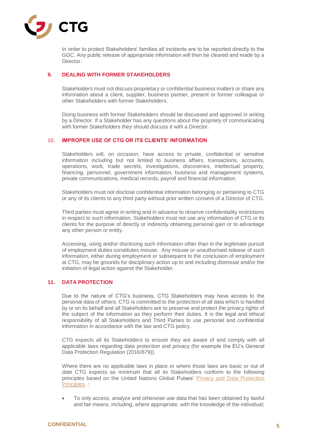

In order to protect Stakeholders' families all incidents are to be reported directly to the GGC. Any public release of appropriate information will then be cleared and made by a Director.

# **9. DEALING WITH FORMER STAKEHOLDERS**

Stakeholders must not discuss proprietary or confidential business matters or share any information about a client, supplier, business partner, present or former colleague or other Stakeholders with former Stakeholders.

Doing business with former Stakeholders should be discussed and approved in writing by a Director. If a Stakeholder has any questions about the propriety of communicating with former Stakeholders they should discuss it with a Director.

# 10. **IMPROPER USE OF CTG OR ITS CLIENTS' INFORMATION**

Stakeholders will, on occasion, have access to private, confidential or sensitive information including but not limited to business affairs, transactions, accounts, operations, work, trade secrets, investigations, discoveries, intellectual property, financing, personnel, government information, business and management systems, private communications, medical records, payroll and financial information.

Stakeholders must not disclose confidential information belonging or pertaining to CTG or any of its clients to any third party without prior written consent of a Director of CTG.

Third parties must agree in writing and in advance to observe confidentiality restrictions in respect to such information. Stakeholders must not use any information of CTG or its clients for the purpose of directly or indirectly obtaining personal gain or to advantage any other person or entity.

Accessing, using and/or disclosing such information other than in the legitimate pursuit of employment duties constitutes misuse. Any misuse or unauthorised release of such information, either during employment or subsequent to the conclusion of employment at CTG, may be grounds for disciplinary action up to and including dismissal and/or the initiation of legal action against the Stakeholder.

# **11. DATA PROTECTION**

Due to the nature of CTG's business, CTG Stakeholders may have access to the personal data of others. CTG is committed to the protection of all data which is handled by or on its behalf and all Stakeholders are to preserve and protect the privacy rights of the subject of the information as they perform their duties. It is the legal and ethical responsibility of all Stakeholders and Third Parties to use personal and confidential information in accordance with the law and CTG policy.

CTG expects all its Stakeholders to ensure they are aware of and comply with all applicable laws regarding data protection and privacy (for example the EU's General Data Protection Regulation (2016/679)).

Where there are no applicable laws in place or where those laws are basic or out of date CTG expects as minimum that all its Stakeholders conform to the following principles based on the United Nations Global Pulses' [Privacy and Data Protection](https://www.unglobalpulse.org/privacy-and-data-protection-principles)  [Principles.](https://www.unglobalpulse.org/privacy-and-data-protection-principles) :

• To only access, analyze and otherwise use data that has been obtained by lawful and fair means, including, where appropriate, with the knowledge of the individual;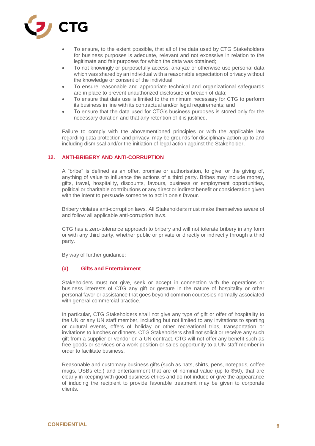

- To ensure, to the extent possible, that all of the data used by CTG Stakeholders for business purposes is adequate, relevant and not excessive in relation to the legitimate and fair purposes for which the data was obtained;
- To not knowingly or purposefully access, analyze or otherwise use personal data which was shared by an individual with a reasonable expectation of privacy without the knowledge or consent of the individual;
- To ensure reasonable and appropriate technical and organizational safeguards are in place to prevent unauthorized disclosure or breach of data;
- To ensure that data use is limited to the minimum necessary for CTG to perform its business in line with its contractual and/or legal requirements; and
- To ensure that the data used for CTG's business purposes is stored only for the necessary duration and that any retention of it is justified.

Failure to comply with the abovementioned principles or with the applicable law regarding data protection and privacy, may be grounds for disciplinary action up to and including dismissal and/or the initiation of legal action against the Stakeholder.

## **12. ANTI-BRIBERY AND ANTI-CORRUPTION**

A "bribe" is defined as an offer, promise or authorisation, to give, or the giving of, anything of value to influence the actions of a third party. Bribes may include money, gifts, travel, hospitality, discounts, favours, business or employment opportunities, political or charitable contributions or any direct or indirect benefit or consideration given with the intent to persuade someone to act in one's favour.

Bribery violates anti-corruption laws. All Stakeholders must make themselves aware of and follow all applicable anti-corruption laws.

CTG has a zero-tolerance approach to bribery and will not tolerate bribery in any form or with any third party, whether public or private or directly or indirectly through a third party.

By way of further guidance:

# **(a) Gifts and Entertainment**

Stakeholders must not give, seek or accept in connection with the operations or business interests of CTG any gift or gesture in the nature of hospitality or other personal favor or assistance that goes beyond common courtesies normally associated with general commercial practice.

In particular, CTG Stakeholders shall not give any type of gift or offer of hospitality to the UN or any UN staff member, including but not limited to any invitations to sporting or cultural events, offers of holiday or other recreational trips, transportation or invitations to lunches or dinners. CTG Stakeholders shall not solicit or receive any such gift from a supplier or vendor on a UN contract. CTG will not offer any benefit such as free goods or services or a work position or sales opportunity to a UN staff member in order to facilitate business.

Reasonable and customary business gifts (such as hats, shirts, pens, notepads, coffee mugs, USBs etc.) and entertainment that are of nominal value (up to \$50), that are clearly in keeping with good business ethics and do not induce or give the appearance of inducing the recipient to provide favorable treatment may be given to corporate clients.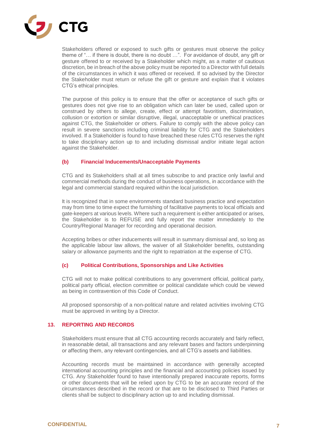

Stakeholders offered or exposed to such gifts or gestures must observe the policy theme of "… if there is doubt, there is no doubt …". For avoidance of doubt, any gift or gesture offered to or received by a Stakeholder which might, as a matter of cautious discretion, be in breach of the above policy must be reported to a Director with full details of the circumstances in which it was offered or received. If so advised by the Director the Stakeholder must return or refuse the gift or gesture and explain that it violates CTG's ethical principles.

The purpose of this policy is to ensure that the offer or acceptance of such gifts or gestures does not give rise to an obligation which can later be used, called upon or construed by others to allege, create, effect or attempt favoritism, discrimination, collusion or extortion or similar disruptive, illegal, unacceptable or unethical practices against CTG, the Stakeholder or others. Failure to comply with the above policy can result in severe sanctions including criminal liability for CTG and the Stakeholders involved. If a Stakeholder is found to have breached these rules CTG reserves the right to take disciplinary action up to and including dismissal and/or initiate legal action against the Stakeholder.

## **(b) Financial Inducements/Unacceptable Payments**

CTG and its Stakeholders shall at all times subscribe to and practice only lawful and commercial methods during the conduct of business operations, in accordance with the legal and commercial standard required within the local jurisdiction.

It is recognized that in some environments standard business practice and expectation may from time to time expect the furnishing of facilitative payments to local officials and gate-keepers at various levels. Where such a requirement is either anticipated or arises, the Stakeholder is to REFUSE and fully report the matter immediately to the Country/Regional Manager for recording and operational decision.

Accepting bribes or other inducements will result in summary dismissal and, so long as the applicable labour law allows, the waiver of all Stakeholder benefits, outstanding salary or allowance payments and the right to repatriation at the expense of CTG.

# **(c) Political Contributions, Sponsorships and Like Activities**

CTG will not to make political contributions to any government official, political party, political party official, election committee or political candidate which could be viewed as being in contravention of this Code of Conduct.

All proposed sponsorship of a non-political nature and related activities involving CTG must be approved in writing by a Director.

## **13. REPORTING AND RECORDS**

Stakeholders must ensure that all CTG accounting records accurately and fairly reflect, in reasonable detail, all transactions and any relevant bases and factors underpinning or affecting them, any relevant contingencies, and all CTG's assets and liabilities.

Accounting records must be maintained in accordance with generally accepted international accounting principles and the financial and accounting policies issued by CTG. Any Stakeholder found to have intentionally prepared inaccurate reports, forms or other documents that will be relied upon by CTG to be an accurate record of the circumstances described in the record or that are to be disclosed to Third Parties or clients shall be subject to disciplinary action up to and including dismissal.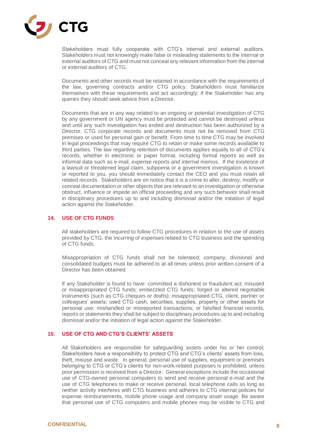

Stakeholders must fully cooperate with CTG's internal and external auditors. Stakeholders must not knowingly make false or misleading statements to the internal or external auditors of CTG and must not conceal any relevant information from the internal or external auditors of CTG.

Documents and other records must be retained in accordance with the requirements of the law, governing contracts and/or CTG policy. Stakeholders must familiarize themselves with these requirements and act accordingly; if the Stakeholder has any queries they should seek advice from a Director.

Documents that are in any way related to an ongoing or potential investigation of CTG by any government or UN agency must be protected and cannot be destroyed unless and until any such investigation has ended and destruction has been authorized by a Director. CTG corporate records and documents must not be removed from CTG premises or used for personal gain or benefit. From time to time CTG may be involved in legal proceedings that may require CTG to retain or make some records available to third parties. The law regarding retention of documents applies equally to all of CTG's records, whether in electronic or paper format, including formal reports as well as informal data such as e-mail, expense reports and internal memos. If the existence of a lawsuit or threatened legal claim, subpoena or a government investigation is known or reported to you, you should immediately contact the CEO and you must retain all related records. Stakeholders are on notice that it is a crime to alter, destroy, modify or conceal documentation or other objects that are relevant to an investigation or otherwise obstruct, influence or impede an official proceeding and any such behavior shall result in disciplinary procedures up to and including dismissal and/or the initiation of legal action against the Stakeholder.

# **14. USE OF CTG FUNDS**

All stakeholders are required to follow CTG procedures in relation to the use of assets provided by CTG, the incurring of expenses related to CTG business and the spending of CTG funds.

Misappropriation of CTG funds shall not be tolerated; company, divisional and consolidated budgets must be adhered to at all times unless prior written consent of a Director has been obtained.

If any Stakeholder is found to have: committed a dishonest or fraudulent act; misused or misappropriated CTG funds; embezzled CTG funds; forged or altered negotiable instruments (such as CTG cheques or drafts); misappropriated CTG, client, partner or colleagues' assets; used CTG cash, securities, supplies, property or other assets for personal use; mishandled or misreported transactions; or falsified financial records, reports or statements they shall be subject to disciplinary procedures up to and including dismissal and/or the initiation of legal action against the Stakeholder.

# **15. USE OF CTG AND CTG'S CLIENTS' ASSETS**

All Stakeholders are responsible for safeguarding assets under his or her control; Stakeholders have a responsibility to protect CTG and CTG's clients' assets from loss, theft, misuse and waste. In general, personal use of supplies, equipment or premises belonging to CTG or CTG's clients for non-work-related purposes is prohibited, unless prior permission is received from a Director. General exceptions include the occasional use of CTG-owned personal computers to send and receive personal e-mail and the use of CTG telephones to make or receive personal, local telephone calls so long as neither activity interferes with CTG business and adheres to CTG internal policies for expense reimbursements, mobile phone usage and company asset usage. Be aware that personal use of CTG computers and mobile phones may be visible to CTG and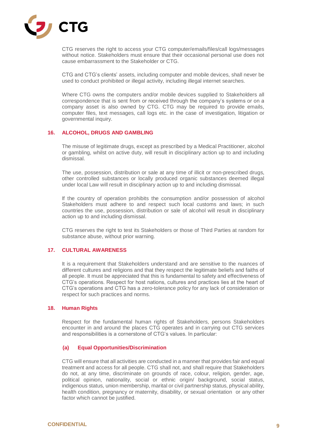

CTG reserves the right to access your CTG computer/emails/files/call logs/messages without notice. Stakeholders must ensure that their occasional personal use does not cause embarrassment to the Stakeholder or CTG.

CTG and CTG's clients' assets, including computer and mobile devices, shall never be used to conduct prohibited or illegal activity, including illegal internet searches.

Where CTG owns the computers and/or mobile devices supplied to Stakeholders all correspondence that is sent from or received through the company's systems or on a company asset is also owned by CTG. CTG may be required to provide emails, computer files, text messages, call logs etc. in the case of investigation, litigation or governmental inquiry.

### **16. ALCOHOL, DRUGS AND GAMBLING**

The misuse of legitimate drugs, except as prescribed by a Medical Practitioner, alcohol or gambling, whilst on active duty, will result in disciplinary action up to and including dismissal.

The use, possession, distribution or sale at any time of illicit or non-prescribed drugs, other controlled substances or locally produced organic substances deemed illegal under local Law will result in disciplinary action up to and including dismissal.

If the country of operation prohibits the consumption and/or possession of alcohol Stakeholders must adhere to and respect such local customs and laws; in such countries the use, possession, distribution or sale of alcohol will result in disciplinary action up to and including dismissal.

CTG reserves the right to test its Stakeholders or those of Third Parties at random for substance abuse, without prior warning.

#### **17. CULTURAL AWARENESS**

It is a requirement that Stakeholders understand and are sensitive to the nuances of different cultures and religions and that they respect the legitimate beliefs and faiths of all people. It must be appreciated that this is fundamental to safety and effectiveness of CTG's operations. Respect for host nations, cultures and practices lies at the heart of CTG's operations and CTG has a zero-tolerance policy for any lack of consideration or respect for such practices and norms.

#### **18. Human Rights**

Respect for the fundamental human rights of Stakeholders, persons Stakeholders encounter in and around the places CTG operates and in carrying out CTG services and responsibilities is a cornerstone of CTG's values. In particular:

#### **(a) Equal Opportunities/Discrimination**

CTG will ensure that all activities are conducted in a manner that provides fair and equal treatment and access for all people. CTG shall not, and shall require that Stakeholders do not, at any time, discriminate on grounds of race, colour, religion, gender, age, political opinion, nationality, social or ethnic origin/ background, social status, indigenous status, union membership, marital or civil partnership status, physical ability, health condition, pregnancy or maternity, disability, or sexual orientation or any other factor which cannot be justified.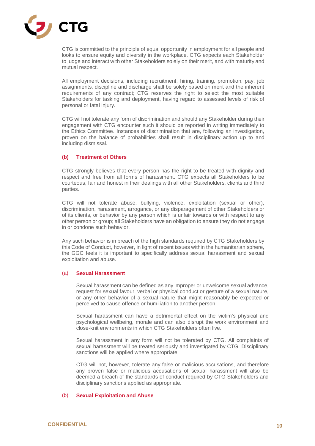

CTG is committed to the principle of equal opportunity in employment for all people and looks to ensure equity and diversity in the workplace. CTG expects each Stakeholder to judge and interact with other Stakeholders solely on their merit, and with maturity and mutual respect.

All employment decisions, including recruitment, hiring, training, promotion, pay, job assignments, discipline and discharge shall be solely based on merit and the inherent requirements of any contract; CTG reserves the right to select the most suitable Stakeholders for tasking and deployment, having regard to assessed levels of risk of personal or fatal injury.

CTG will not tolerate any form of discrimination and should any Stakeholder during their engagement with CTG encounter such it should be reported in writing immediately to the Ethics Committee. Instances of discrimination that are, following an investigation, proven on the balance of probabilities shall result in disciplinary action up to and including dismissal.

## **(b) Treatment of Others**

CTG strongly believes that every person has the right to be treated with dignity and respect and free from all forms of harassment. CTG expects all Stakeholders to be courteous, fair and honest in their dealings with all other Stakeholders, clients and third parties.

CTG will not tolerate abuse, bullying, violence, exploitation (sexual or other), discrimination, harassment, arrogance, or any disparagement of other Stakeholders or of its clients, or behavior by any person which is unfair towards or with respect to any other person or group; all Stakeholders have an obligation to ensure they do not engage in or condone such behavior.

Any such behavior is in breach of the high standards required by CTG Stakeholders by this Code of Conduct, however, in light of recent issues within the humanitarian sphere, the GGC feels it is important to specifically address sexual harassment and sexual exploitation and abuse.

#### (a) **Sexual Harassment**

Sexual harassment can be defined as any improper or unwelcome sexual advance, request for sexual favour, verbal or physical conduct or gesture of a sexual nature, or any other behavior of a sexual nature that might reasonably be expected or perceived to cause offence or humiliation to another person.

Sexual harassment can have a detrimental effect on the victim's physical and psychological wellbeing, morale and can also disrupt the work environment and close-knit environments in which CTG Stakeholders often live.

Sexual harassment in any form will not be tolerated by CTG. All complaints of sexual harassment will be treated seriously and investigated by CTG. Disciplinary sanctions will be applied where appropriate.

CTG will not, however, tolerate any false or malicious accusations, and therefore any proven false or malicious accusations of sexual harassment will also be deemed a breach of the standards of conduct required by CTG Stakeholders and disciplinary sanctions applied as appropriate.

#### (b) **Sexual Exploitation and Abuse**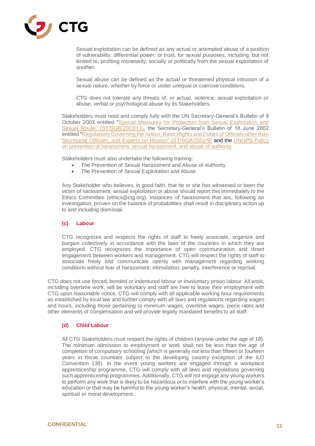

Sexual exploitation can be defined as any actual or attempted abuse of a position of vulnerability, differential power, or trust, for sexual purposes, including, but not limited to, profiting monetarily, socially or politically from the sexual exploitation of another.

Sexual abuse can be defined as the actual or threatened physical intrusion of a sexual nature, whether by force or under unequal or coercive conditions.

CTG does not tolerate any threats of, or actual, violence, sexual exploitation or abuse, verbal or psychological abuse by its Stakeholders.

Stakeholders must read and comply fully with the UN Secretary-General's Bulletin of 9 October 2003 entitled ["Special Measures for Protection from Sexual Exploitation and](http://daccess-dds-ny.un.org/doc/UNDOC/GEN/N03/550/40/PDF/N0355040.pdf?OpenElement)  [Sexual Abuse" \(ST/SGB/2003/13\),](http://daccess-dds-ny.un.org/doc/UNDOC/GEN/N03/550/40/PDF/N0355040.pdf?OpenElement) the Secretary-General's Bulletin of 18 June 2002 entitled "Regulations Governing the Status, Basic Rights and Duties of Officials other than [Secretariat Officials, and Experts on Mission" \(ST/SGB/2002/9\)](http://www.ht.undp.org/content/dam/haiti/docs/procurement/UNDP_HT_Reglement.pdf) and the [UNOPS Policy](https://www.unops.org/SiteCollectionDocuments/Accountability/OD-08-rev-1.pdf)  [on prevention of harassment, sexual harassment, and abuse of authority.](https://www.unops.org/SiteCollectionDocuments/Accountability/OD-08-rev-1.pdf)

Stakeholders must also undertake the following training:

- The Prevention of Sexual Harassment and Abuse of Authority
- The Prevention of Sexual Exploitation and Abuse

Any Stakeholder who believes, in good faith, that he or she has witnessed or been the victim of harassment, sexual exploitation or abuse should report this immediately to the Ethics Committee (ethics@ctg.org). Instances of harassment that are, following an investigation, proven on the balance of probabilities shall result in disciplinary action up to and including dismissal.

## **(c) Labour**

CTG recognizes and respects the rights of staff to freely associate, organize and bargain collectively in accordance with the laws of the countries in which they are employed. CTG recognizes the importance of open communication and direct engagement between workers and management. CTG will respect the rights of staff to associate freely and communicate openly with management regarding working conditions without fear of harassment, intimidation, penalty, interference or reprisal.

CTG does not use forced, bonded or indentured labour or involuntary prison labour. All work, including overtime work, will be voluntary and staff are free to leave their employment with CTG upon reasonable notice. CTG will comply with all applicable working hour requirements as established by local law and further comply with all laws and regulations regarding wages and hours, including those pertaining to minimum wages, overtime wages, piece rates and other elements of compensation and will provide legally mandated benefits to all staff.

#### **(d) Child Labour**

All CTG Stakeholders must respect the rights of children (anyone under the age of 18). The minimum admission to employment or work shall not be less than the age of completion of compulsory schooling (which is generally not less than fifteen or fourteen years in those countries subject to the developing country exception of the ILO Convention 138). In the event young workers are engaged through a workplace apprenticeship programme, CTG will comply with all laws and regulations governing such apprenticeship programmes. Additionally, CTG will not engage any young workers to perform any work that is likely to be hazardous or to interfere with the young worker's education or that may be harmful to the young worker's health, physical, mental, social, spiritual or moral development.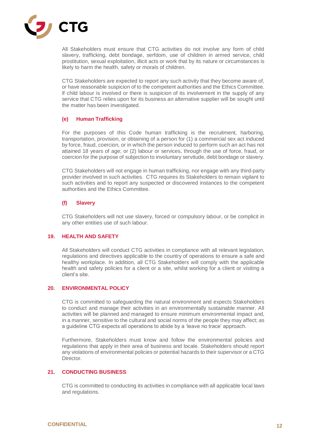

All Stakeholders must ensure that CTG activities do not involve any form of child slavery, trafficking, debt bondage, serfdom, use of children in armed service, child prostitution, sexual exploitation, illicit acts or work that by its nature or circumstances is likely to harm the health, safety or morals of children.

CTG Stakeholders are expected to report any such activity that they become aware of, or have reasonable suspicion of to the competent authorities and the Ethics Committee. If child labour is involved or there is suspicion of its involvement in the supply of any service that CTG relies upon for its business an alternative supplier will be sought until the matter has been investigated.

# **(e) Human Trafficking**

For the purposes of this Code human trafficking is the recruitment, harboring, transportation, provision, or obtaining of a person for (1) a commercial sex act induced by force, fraud, coercion, or in which the person induced to perform such an act has not attained 18 years of age; or (2) labour or services, through the use of force, fraud, or coercion for the purpose of subjection to involuntary servitude, debt bondage or slavery.

CTG Stakeholders will not engage in human trafficking, nor engage with any third-party provider involved in such activities. CTG requires its Stakeholders to remain vigilant to such activities and to report any suspected or discovered instances to the competent authorities and the Ethics Committee.

## **(f) Slavery**

CTG Stakeholders will not use slavery, forced or compulsory labour, or be complicit in any other entities use of such labour.

#### **19. HEALTH AND SAFETY**

All Stakeholders will conduct CTG activities in compliance with all relevant legislation, regulations and directives applicable to the country of operations to ensure a safe and healthy workplace. In addition, all CTG Stakeholders will comply with the applicable health and safety policies for a client or a site, whilst working for a client or visiting a client's site.

# **20. ENVIRONMENTAL POLICY**

CTG is committed to safeguarding the natural environment and expects Stakeholders to conduct and manage their activities in an environmentally sustainable manner. All activities will be planned and managed to ensure minimum environmental impact and, in a manner, sensitive to the cultural and social norms of the people they may affect; as a guideline CTG expects all operations to abide by a 'leave no trace' approach.

Furthermore, Stakeholders must know and follow the environmental policies and regulations that apply in their area of business and locale. Stakeholders should report any violations of environmental policies or potential hazards to their supervisor or a CTG **Director** 

#### **21. CONDUCTING BUSINESS**

CTG is committed to conducting its activities in compliance with all applicable local laws and regulations.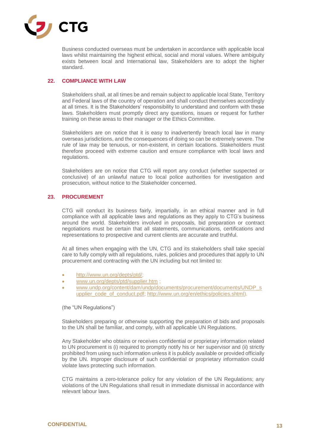

Business conducted overseas must be undertaken in accordance with applicable local laws whilst maintaining the highest ethical, social and moral values. Where ambiguity exists between local and International law, Stakeholders are to adopt the higher standard.

## **22. COMPLIANCE WITH LAW**

Stakeholders shall, at all times be and remain subject to applicable local State, Territory and Federal laws of the country of operation and shall conduct themselves accordingly at all times. It is the Stakeholders' responsibility to understand and conform with these laws. Stakeholders must promptly direct any questions, issues or request for further training on these areas to their manager or the Ethics Committee.

Stakeholders are on notice that it is easy to inadvertently breach local law in many overseas jurisdictions, and the consequences of doing so can be extremely severe. The rule of law may be tenuous, or non-existent, in certain locations. Stakeholders must therefore proceed with extreme caution and ensure compliance with local laws and regulations.

Stakeholders are on notice that CTG will report any conduct (whether suspected or conclusive) of an unlawful nature to local police authorities for investigation and prosecution, without notice to the Stakeholder concerned.

## **23. PROCUREMENT**

CTG will conduct its business fairly, impartially, in an ethical manner and in full compliance with all applicable laws and regulations as they apply to CTG's business around the world. Stakeholders involved in proposals, bid preparation or contract negotiations must be certain that all statements, communications, certifications and representations to prospective and current clients are accurate and truthful.

At all times when engaging with the UN, CTG and its stakeholders shall take special care to fully comply with all regulations, rules, policies and procedures that apply to UN procurement and contracting with the UN including but not limited to:

- [http://www.un.org/depts/ptd/;](http://www.un.org/depts/ptd/)
- [www.un.org/depts/ptd/supplier.htm](http://www.un.org/depts/ptd/supplier.htm) ;
- [www.undp.org/content/dam/undp/documents/procurement/documents/UNDP\\_s](http://www.undp.org/content/dam/undp/documents/procurement/documents/UNDP_supplier_code_of_conduct.pdf) [upplier\\_code\\_of\\_conduct.pdf;](http://www.undp.org/content/dam/undp/documents/procurement/documents/UNDP_supplier_code_of_conduct.pdf) [http://www.un.org/en/ethics/policies.shtml\)](http://www.un.org/en/ethics/policies.shtml).

(the "UN Regulations")

Stakeholders preparing or otherwise supporting the preparation of bids and proposals to the UN shall be familiar, and comply, with all applicable UN Regulations.

Any Stakeholder who obtains or receives confidential or proprietary information related to UN procurement is (i) required to promptly notify his or her supervisor and (ii) strictly prohibited from using such information unless it is publicly available or provided officially by the UN. Improper disclosure of such confidential or proprietary information could violate laws protecting such information.

CTG maintains a zero-tolerance policy for any violation of the UN Regulations; any violations of the UN Regulations shall result in immediate dismissal in accordance with relevant labour laws.